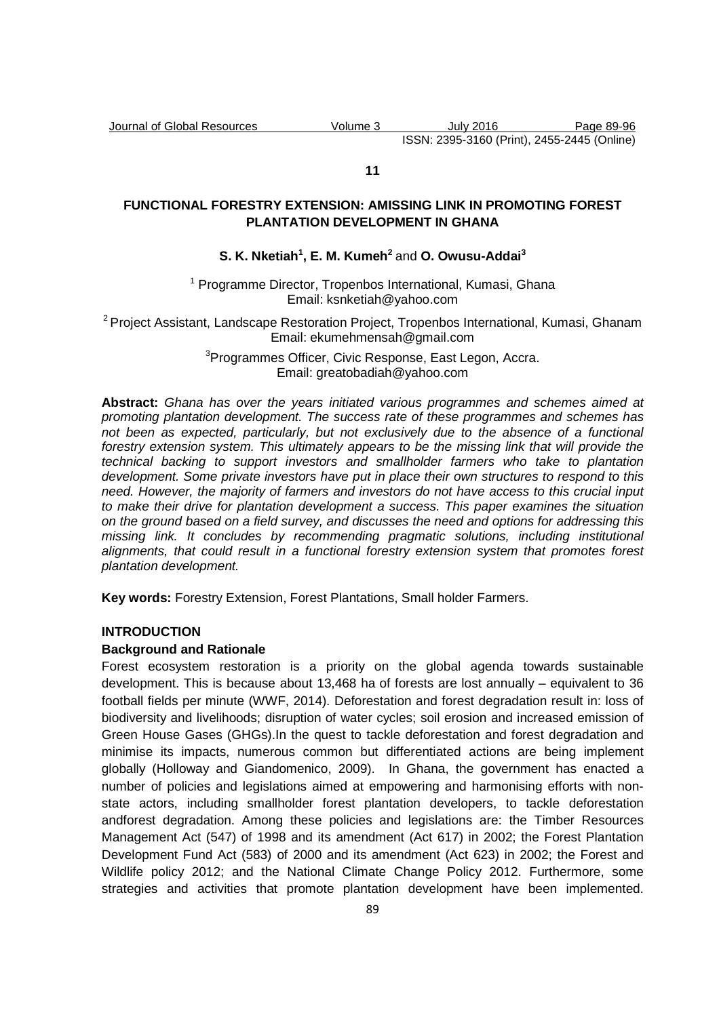Journal of Global Resources Volume 3 July 2016 Page 89-96 ISSN: 2395-3160 (Print), 2455-2445 (Online)

# **11**

# **FUNCTIONAL FORESTRY EXTENSION: AMISSING LINK IN PROMOTING FOREST PLANTATION DEVELOPMENT IN GHANA**

# **S. K. Nketiah<sup>1</sup> , E. M. Kumeh<sup>2</sup>** and **O. Owusu-Addai<sup>3</sup>**

<sup>1</sup> Programme Director, Tropenbos International, Kumasi, Ghana Email: ksnketiah@yahoo.com

 $2$ Project Assistant, Landscape Restoration Project, Tropenbos International, Kumasi, Ghanam Email: ekumehmensah@gmail.com

> <sup>3</sup>Programmes Officer, Civic Response, East Legon, Accra. Email: greatobadiah@yahoo.com

**Abstract:** Ghana has over the years initiated various programmes and schemes aimed at promoting plantation development. The success rate of these programmes and schemes has not been as expected, particularly, but not exclusively due to the absence of a functional forestry extension system. This ultimately appears to be the missing link that will provide the technical backing to support investors and smallholder farmers who take to plantation development. Some private investors have put in place their own structures to respond to this need. However, the majority of farmers and investors do not have access to this crucial input to make their drive for plantation development a success. This paper examines the situation on the ground based on a field survey, and discusses the need and options for addressing this missing link. It concludes by recommending pragmatic solutions, including institutional alignments, that could result in a functional forestry extension system that promotes forest plantation development.

**Key words:** Forestry Extension, Forest Plantations, Small holder Farmers.

## **INTRODUCTION**

#### **Background and Rationale**

Forest ecosystem restoration is a priority on the global agenda towards sustainable development. This is because about 13,468 ha of forests are lost annually – equivalent to 36 football fields per minute (WWF, 2014). Deforestation and forest degradation result in: loss of biodiversity and livelihoods; disruption of water cycles; soil erosion and increased emission of Green House Gases (GHGs).In the quest to tackle deforestation and forest degradation and minimise its impacts, numerous common but differentiated actions are being implement globally (Holloway and Giandomenico, 2009). In Ghana, the government has enacted a number of policies and legislations aimed at empowering and harmonising efforts with nonstate actors, including smallholder forest plantation developers, to tackle deforestation andforest degradation. Among these policies and legislations are: the Timber Resources Management Act (547) of 1998 and its amendment (Act 617) in 2002; the Forest Plantation Development Fund Act (583) of 2000 and its amendment (Act 623) in 2002; the Forest and Wildlife policy 2012; and the National Climate Change Policy 2012. Furthermore, some strategies and activities that promote plantation development have been implemented.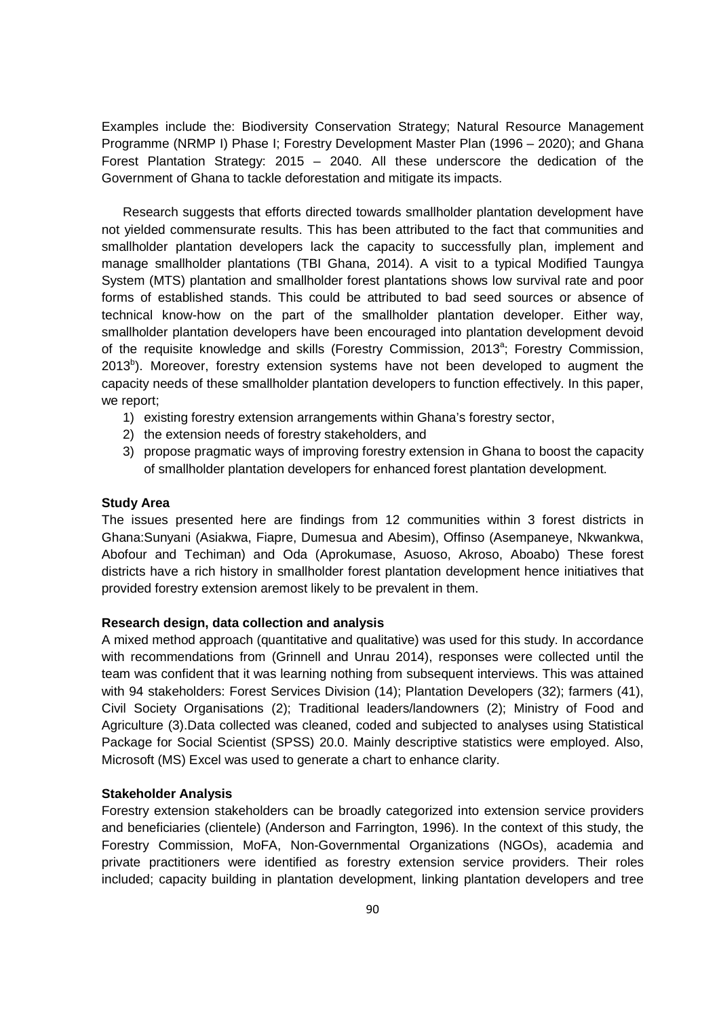Examples include the: Biodiversity Conservation Strategy; Natural Resource Management Programme (NRMP I) Phase I; Forestry Development Master Plan (1996 – 2020); and Ghana Forest Plantation Strategy: 2015 – 2040. All these underscore the dedication of the Government of Ghana to tackle deforestation and mitigate its impacts.

Research suggests that efforts directed towards smallholder plantation development have not yielded commensurate results. This has been attributed to the fact that communities and smallholder plantation developers lack the capacity to successfully plan, implement and manage smallholder plantations (TBI Ghana, 2014). A visit to a typical Modified Taungya System (MTS) plantation and smallholder forest plantations shows low survival rate and poor forms of established stands. This could be attributed to bad seed sources or absence of technical know-how on the part of the smallholder plantation developer. Either way, smallholder plantation developers have been encouraged into plantation development devoid of the requisite knowledge and skills (Forestry Commission, 2013<sup>a</sup>; Forestry Commission,  $2013<sup>b</sup>$ ). Moreover, forestry extension systems have not been developed to augment the capacity needs of these smallholder plantation developers to function effectively. In this paper, we report;

- 1) existing forestry extension arrangements within Ghana's forestry sector,
- 2) the extension needs of forestry stakeholders, and
- 3) propose pragmatic ways of improving forestry extension in Ghana to boost the capacity of smallholder plantation developers for enhanced forest plantation development.

## **Study Area**

The issues presented here are findings from 12 communities within 3 forest districts in Ghana:Sunyani (Asiakwa, Fiapre, Dumesua and Abesim), Offinso (Asempaneye, Nkwankwa, Abofour and Techiman) and Oda (Aprokumase, Asuoso, Akroso, Aboabo) These forest districts have a rich history in smallholder forest plantation development hence initiatives that provided forestry extension aremost likely to be prevalent in them.

### **Research design, data collection and analysis**

A mixed method approach (quantitative and qualitative) was used for this study. In accordance with recommendations from (Grinnell and Unrau 2014), responses were collected until the team was confident that it was learning nothing from subsequent interviews. This was attained with 94 stakeholders: Forest Services Division (14); Plantation Developers (32); farmers (41), Civil Society Organisations (2); Traditional leaders/landowners (2); Ministry of Food and Agriculture (3).Data collected was cleaned, coded and subjected to analyses using Statistical Package for Social Scientist (SPSS) 20.0. Mainly descriptive statistics were employed. Also, Microsoft (MS) Excel was used to generate a chart to enhance clarity.

### **Stakeholder Analysis**

Forestry extension stakeholders can be broadly categorized into extension service providers and beneficiaries (clientele) (Anderson and Farrington, 1996). In the context of this study, the Forestry Commission, MoFA, Non-Governmental Organizations (NGOs), academia and private practitioners were identified as forestry extension service providers. Their roles included; capacity building in plantation development, linking plantation developers and tree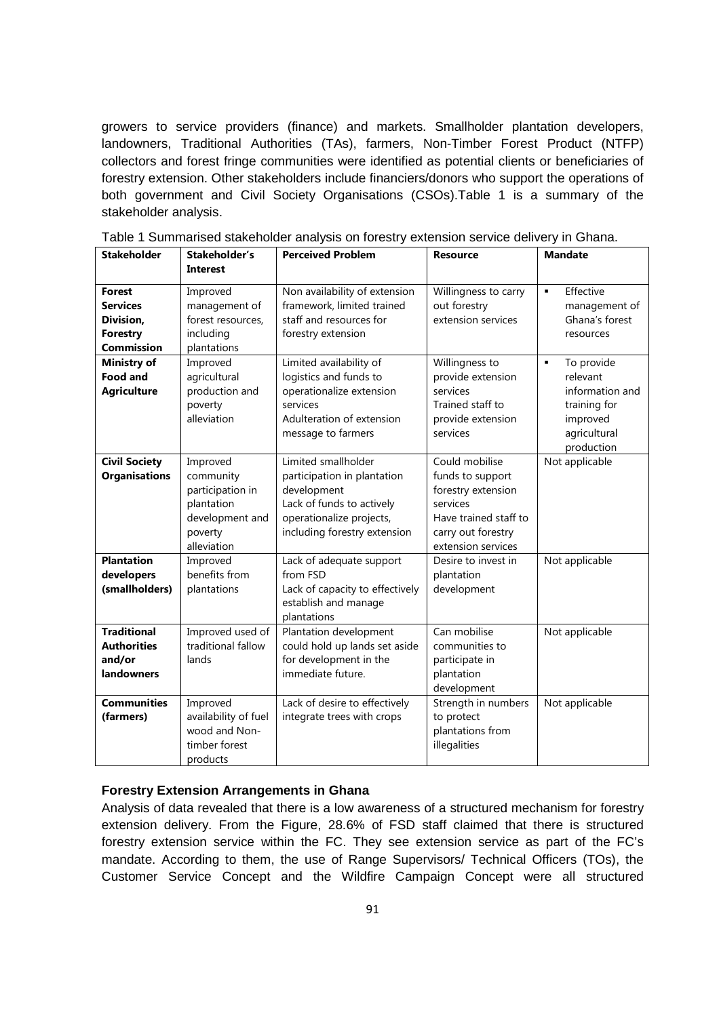growers to service providers (finance) and markets. Smallholder plantation developers, landowners, Traditional Authorities (TAs), farmers, Non-Timber Forest Product (NTFP) collectors and forest fringe communities were identified as potential clients or beneficiaries of forestry extension. Other stakeholders include financiers/donors who support the operations of both government and Civil Society Organisations (CSOs).Table 1 is a summary of the stakeholder analysis.

| <b>Stakeholder</b>                                                                    | Stakeholder's<br>Interest                                                                            | <b>Perceived Problem</b>                                                                                                                                   | <b>Resource</b>                                                                                                                           | <b>Mandate</b>                                                                                                        |
|---------------------------------------------------------------------------------------|------------------------------------------------------------------------------------------------------|------------------------------------------------------------------------------------------------------------------------------------------------------------|-------------------------------------------------------------------------------------------------------------------------------------------|-----------------------------------------------------------------------------------------------------------------------|
| <b>Forest</b><br><b>Services</b><br>Division,<br><b>Forestry</b><br><b>Commission</b> | Improved<br>management of<br>forest resources,<br>including<br>plantations                           | Non availability of extension<br>framework, limited trained<br>staff and resources for<br>forestry extension                                               | Willingness to carry<br>out forestry<br>extension services                                                                                | Effective<br>$\blacksquare$<br>management of<br>Ghana's forest<br>resources                                           |
| <b>Ministry of</b><br><b>Food and</b><br><b>Agriculture</b>                           | Improved<br>agricultural<br>production and<br>poverty<br>alleviation                                 | Limited availability of<br>logistics and funds to<br>operationalize extension<br>services<br>Adulteration of extension<br>message to farmers               | Willingness to<br>provide extension<br>services<br>Trained staff to<br>provide extension<br>services                                      | To provide<br>$\blacksquare$<br>relevant<br>information and<br>training for<br>improved<br>agricultural<br>production |
| <b>Civil Society</b><br><b>Organisations</b>                                          | Improved<br>community<br>participation in<br>plantation<br>development and<br>poverty<br>alleviation | Limited smallholder<br>participation in plantation<br>development<br>Lack of funds to actively<br>operationalize projects,<br>including forestry extension | Could mobilise<br>funds to support<br>forestry extension<br>services<br>Have trained staff to<br>carry out forestry<br>extension services | Not applicable                                                                                                        |
| <b>Plantation</b><br>developers<br>(smallholders)                                     | Improved<br>benefits from<br>plantations                                                             | Lack of adequate support<br>from FSD<br>Lack of capacity to effectively<br>establish and manage<br>plantations                                             | Desire to invest in<br>plantation<br>development                                                                                          | Not applicable                                                                                                        |
| <b>Traditional</b><br><b>Authorities</b><br>and/or<br><b>landowners</b>               | Improved used of<br>traditional fallow<br>lands                                                      | Plantation development<br>could hold up lands set aside<br>for development in the<br>immediate future.                                                     | Can mobilise<br>communities to<br>participate in<br>plantation<br>development                                                             | Not applicable                                                                                                        |
| <b>Communities</b><br>(farmers)                                                       | Improved<br>availability of fuel<br>wood and Non-<br>timber forest<br>products                       | Lack of desire to effectively<br>integrate trees with crops                                                                                                | Strength in numbers<br>to protect<br>plantations from<br>illegalities                                                                     | Not applicable                                                                                                        |

Table 1 Summarised stakeholder analysis on forestry extension service delivery in Ghana.

# **Forestry Extension Arrangements in Ghana**

Analysis of data revealed that there is a low awareness of a structured mechanism for forestry extension delivery. From the Figure, 28.6% of FSD staff claimed that there is structured forestry extension service within the FC. They see extension service as part of the FC's mandate. According to them, the use of Range Supervisors/ Technical Officers (TOs), the Customer Service Concept and the Wildfire Campaign Concept were all structured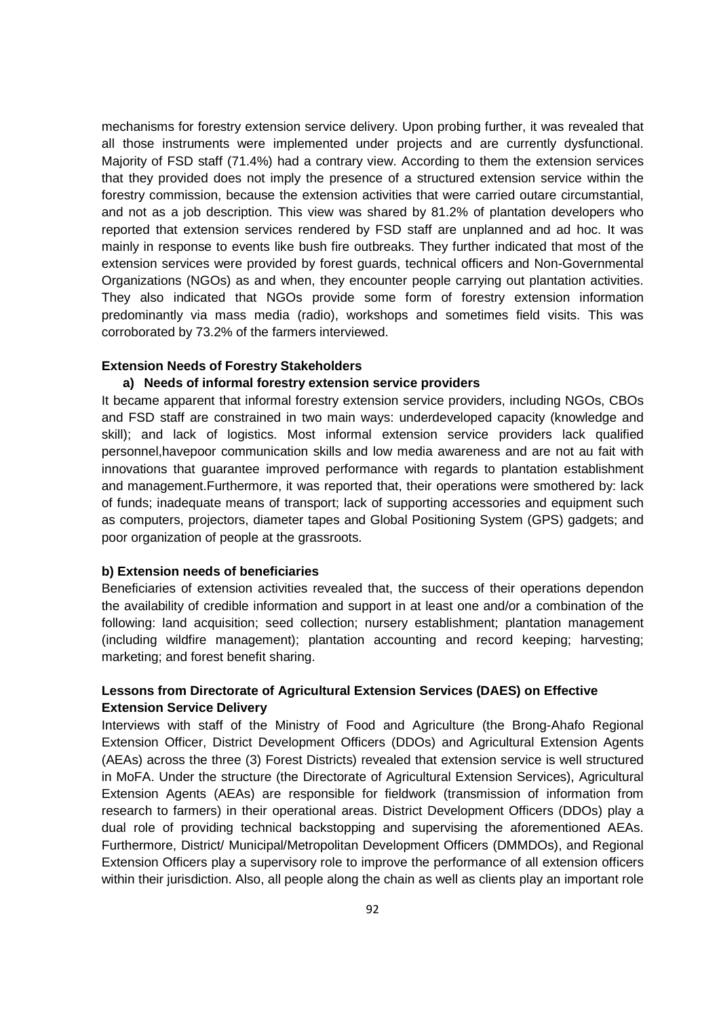mechanisms for forestry extension service delivery. Upon probing further, it was revealed that all those instruments were implemented under projects and are currently dysfunctional. Majority of FSD staff (71.4%) had a contrary view. According to them the extension services that they provided does not imply the presence of a structured extension service within the forestry commission, because the extension activities that were carried outare circumstantial, and not as a job description. This view was shared by 81.2% of plantation developers who reported that extension services rendered by FSD staff are unplanned and ad hoc. It was mainly in response to events like bush fire outbreaks. They further indicated that most of the extension services were provided by forest guards, technical officers and Non-Governmental Organizations (NGOs) as and when, they encounter people carrying out plantation activities. They also indicated that NGOs provide some form of forestry extension information predominantly via mass media (radio), workshops and sometimes field visits. This was corroborated by 73.2% of the farmers interviewed.

#### **Extension Needs of Forestry Stakeholders**

### **a) Needs of informal forestry extension service providers**

It became apparent that informal forestry extension service providers, including NGOs, CBOs and FSD staff are constrained in two main ways: underdeveloped capacity (knowledge and skill); and lack of logistics. Most informal extension service providers lack qualified personnel,havepoor communication skills and low media awareness and are not au fait with innovations that guarantee improved performance with regards to plantation establishment and management.Furthermore, it was reported that, their operations were smothered by: lack of funds; inadequate means of transport; lack of supporting accessories and equipment such as computers, projectors, diameter tapes and Global Positioning System (GPS) gadgets; and poor organization of people at the grassroots.

### **b) Extension needs of beneficiaries**

Beneficiaries of extension activities revealed that, the success of their operations dependon the availability of credible information and support in at least one and/or a combination of the following: land acquisition; seed collection; nursery establishment; plantation management (including wildfire management); plantation accounting and record keeping; harvesting; marketing; and forest benefit sharing.

# **Lessons from Directorate of Agricultural Extension Services (DAES) on Effective Extension Service Delivery**

Interviews with staff of the Ministry of Food and Agriculture (the Brong-Ahafo Regional Extension Officer, District Development Officers (DDOs) and Agricultural Extension Agents (AEAs) across the three (3) Forest Districts) revealed that extension service is well structured in MoFA. Under the structure (the Directorate of Agricultural Extension Services), Agricultural Extension Agents (AEAs) are responsible for fieldwork (transmission of information from research to farmers) in their operational areas. District Development Officers (DDOs) play a dual role of providing technical backstopping and supervising the aforementioned AEAs. Furthermore, District/ Municipal/Metropolitan Development Officers (DMMDOs), and Regional Extension Officers play a supervisory role to improve the performance of all extension officers within their jurisdiction. Also, all people along the chain as well as clients play an important role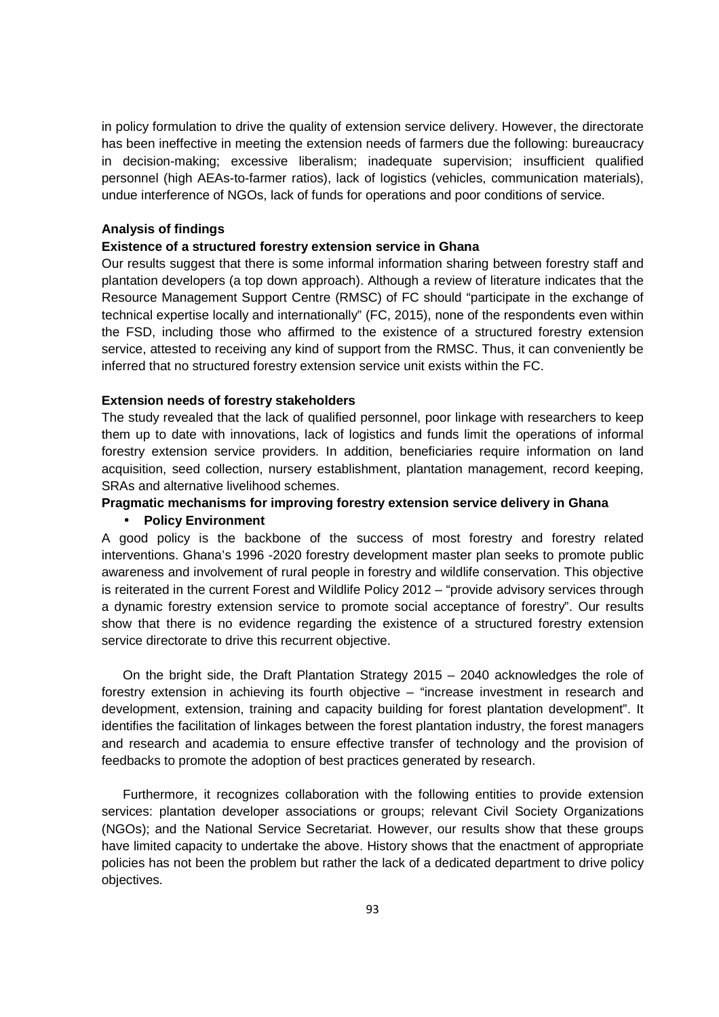in policy formulation to drive the quality of extension service delivery. However, the directorate has been ineffective in meeting the extension needs of farmers due the following: bureaucracy in decision-making; excessive liberalism; inadequate supervision; insufficient qualified personnel (high AEAs-to-farmer ratios), lack of logistics (vehicles, communication materials), undue interference of NGOs, lack of funds for operations and poor conditions of service.

### **Analysis of findings**

## **Existence of a structured forestry extension service in Ghana**

Our results suggest that there is some informal information sharing between forestry staff and plantation developers (a top down approach). Although a review of literature indicates that the Resource Management Support Centre (RMSC) of FC should "participate in the exchange of technical expertise locally and internationally" (FC, 2015), none of the respondents even within the FSD, including those who affirmed to the existence of a structured forestry extension service, attested to receiving any kind of support from the RMSC. Thus, it can conveniently be inferred that no structured forestry extension service unit exists within the FC.

## **Extension needs of forestry stakeholders**

The study revealed that the lack of qualified personnel, poor linkage with researchers to keep them up to date with innovations, lack of logistics and funds limit the operations of informal forestry extension service providers. In addition, beneficiaries require information on land acquisition, seed collection, nursery establishment, plantation management, record keeping, SRAs and alternative livelihood schemes.

# **Pragmatic mechanisms for improving forestry extension service delivery in Ghana**

### • **Policy Environment**

A good policy is the backbone of the success of most forestry and forestry related interventions. Ghana's 1996 -2020 forestry development master plan seeks to promote public awareness and involvement of rural people in forestry and wildlife conservation. This objective is reiterated in the current Forest and Wildlife Policy 2012 – "provide advisory services through a dynamic forestry extension service to promote social acceptance of forestry". Our results show that there is no evidence regarding the existence of a structured forestry extension service directorate to drive this recurrent objective.

On the bright side, the Draft Plantation Strategy 2015 – 2040 acknowledges the role of forestry extension in achieving its fourth objective – "increase investment in research and development, extension, training and capacity building for forest plantation development". It identifies the facilitation of linkages between the forest plantation industry, the forest managers and research and academia to ensure effective transfer of technology and the provision of feedbacks to promote the adoption of best practices generated by research.

Furthermore, it recognizes collaboration with the following entities to provide extension services: plantation developer associations or groups; relevant Civil Society Organizations (NGOs); and the National Service Secretariat. However, our results show that these groups have limited capacity to undertake the above. History shows that the enactment of appropriate policies has not been the problem but rather the lack of a dedicated department to drive policy objectives.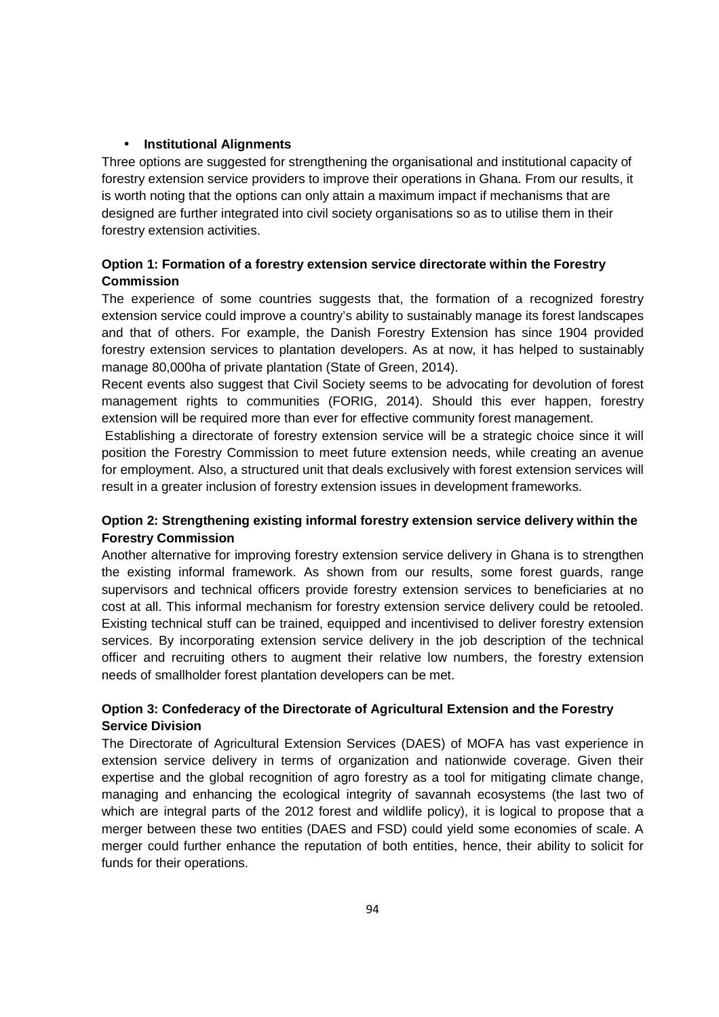# • **Institutional Alignments**

Three options are suggested for strengthening the organisational and institutional capacity of forestry extension service providers to improve their operations in Ghana. From our results, it is worth noting that the options can only attain a maximum impact if mechanisms that are designed are further integrated into civil society organisations so as to utilise them in their forestry extension activities.

# **Option 1: Formation of a forestry extension service directorate within the Forestry Commission**

The experience of some countries suggests that, the formation of a recognized forestry extension service could improve a country's ability to sustainably manage its forest landscapes and that of others. For example, the Danish Forestry Extension has since 1904 provided forestry extension services to plantation developers. As at now, it has helped to sustainably manage 80,000ha of private plantation (State of Green, 2014).

Recent events also suggest that Civil Society seems to be advocating for devolution of forest management rights to communities (FORIG, 2014). Should this ever happen, forestry extension will be required more than ever for effective community forest management.

 Establishing a directorate of forestry extension service will be a strategic choice since it will position the Forestry Commission to meet future extension needs, while creating an avenue for employment. Also, a structured unit that deals exclusively with forest extension services will result in a greater inclusion of forestry extension issues in development frameworks.

# **Option 2: Strengthening existing informal forestry extension service delivery within the Forestry Commission**

Another alternative for improving forestry extension service delivery in Ghana is to strengthen the existing informal framework. As shown from our results, some forest guards, range supervisors and technical officers provide forestry extension services to beneficiaries at no cost at all. This informal mechanism for forestry extension service delivery could be retooled. Existing technical stuff can be trained, equipped and incentivised to deliver forestry extension services. By incorporating extension service delivery in the job description of the technical officer and recruiting others to augment their relative low numbers, the forestry extension needs of smallholder forest plantation developers can be met.

# **Option 3: Confederacy of the Directorate of Agricultural Extension and the Forestry Service Division**

The Directorate of Agricultural Extension Services (DAES) of MOFA has vast experience in extension service delivery in terms of organization and nationwide coverage. Given their expertise and the global recognition of agro forestry as a tool for mitigating climate change, managing and enhancing the ecological integrity of savannah ecosystems (the last two of which are integral parts of the 2012 forest and wildlife policy), it is logical to propose that a merger between these two entities (DAES and FSD) could yield some economies of scale. A merger could further enhance the reputation of both entities, hence, their ability to solicit for funds for their operations.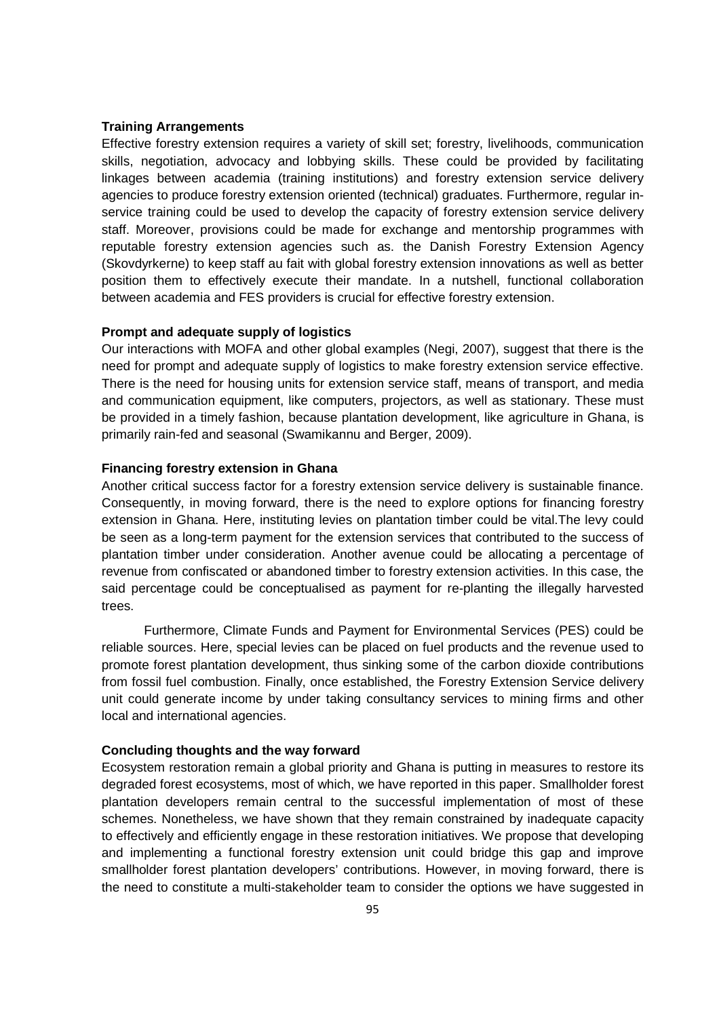### **Training Arrangements**

Effective forestry extension requires a variety of skill set; forestry, livelihoods, communication skills, negotiation, advocacy and lobbying skills. These could be provided by facilitating linkages between academia (training institutions) and forestry extension service delivery agencies to produce forestry extension oriented (technical) graduates. Furthermore, regular inservice training could be used to develop the capacity of forestry extension service delivery staff. Moreover, provisions could be made for exchange and mentorship programmes with reputable forestry extension agencies such as. the Danish Forestry Extension Agency (Skovdyrkerne) to keep staff au fait with global forestry extension innovations as well as better position them to effectively execute their mandate. In a nutshell, functional collaboration between academia and FES providers is crucial for effective forestry extension.

#### **Prompt and adequate supply of logistics**

Our interactions with MOFA and other global examples (Negi, 2007), suggest that there is the need for prompt and adequate supply of logistics to make forestry extension service effective. There is the need for housing units for extension service staff, means of transport, and media and communication equipment, like computers, projectors, as well as stationary. These must be provided in a timely fashion, because plantation development, like agriculture in Ghana, is primarily rain-fed and seasonal (Swamikannu and Berger, 2009).

# **Financing forestry extension in Ghana**

Another critical success factor for a forestry extension service delivery is sustainable finance. Consequently, in moving forward, there is the need to explore options for financing forestry extension in Ghana. Here, instituting levies on plantation timber could be vital.The levy could be seen as a long-term payment for the extension services that contributed to the success of plantation timber under consideration. Another avenue could be allocating a percentage of revenue from confiscated or abandoned timber to forestry extension activities. In this case, the said percentage could be conceptualised as payment for re-planting the illegally harvested trees.

Furthermore, Climate Funds and Payment for Environmental Services (PES) could be reliable sources. Here, special levies can be placed on fuel products and the revenue used to promote forest plantation development, thus sinking some of the carbon dioxide contributions from fossil fuel combustion. Finally, once established, the Forestry Extension Service delivery unit could generate income by under taking consultancy services to mining firms and other local and international agencies.

#### **Concluding thoughts and the way forward**

Ecosystem restoration remain a global priority and Ghana is putting in measures to restore its degraded forest ecosystems, most of which, we have reported in this paper. Smallholder forest plantation developers remain central to the successful implementation of most of these schemes. Nonetheless, we have shown that they remain constrained by inadequate capacity to effectively and efficiently engage in these restoration initiatives. We propose that developing and implementing a functional forestry extension unit could bridge this gap and improve smallholder forest plantation developers' contributions. However, in moving forward, there is the need to constitute a multi-stakeholder team to consider the options we have suggested in